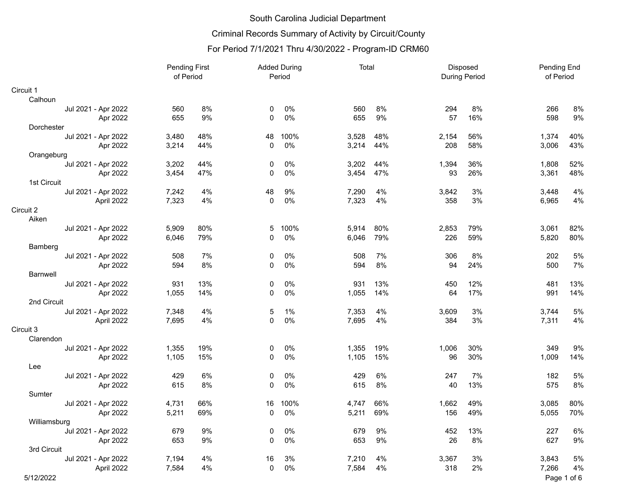## Criminal Records Summary of Activity by Circuit/County

|                     | <b>Pending First</b><br>of Period |     | <b>Added During</b><br>Period |       | Total |     | Disposed<br><b>During Period</b> |     | Pending End<br>of Period |             |
|---------------------|-----------------------------------|-----|-------------------------------|-------|-------|-----|----------------------------------|-----|--------------------------|-------------|
| Circuit 1           |                                   |     |                               |       |       |     |                                  |     |                          |             |
| Calhoun             |                                   |     |                               |       |       |     |                                  |     |                          |             |
| Jul 2021 - Apr 2022 | 560                               | 8%  | 0                             | 0%    | 560   | 8%  | 294                              | 8%  | 266                      | 8%          |
| Apr 2022            | 655                               | 9%  | 0                             | 0%    | 655   | 9%  | 57                               | 16% | 598                      | 9%          |
| Dorchester          |                                   |     |                               |       |       |     |                                  |     |                          |             |
| Jul 2021 - Apr 2022 | 3,480                             | 48% | 48                            | 100%  | 3,528 | 48% | 2,154                            | 56% | 1,374                    | 40%         |
| Apr 2022            | 3,214                             | 44% | $\mathbf{0}$                  | 0%    | 3,214 | 44% | 208                              | 58% | 3,006                    | 43%         |
| Orangeburg          |                                   |     |                               |       |       |     |                                  |     |                          |             |
| Jul 2021 - Apr 2022 | 3,202                             | 44% | 0                             | $0\%$ | 3,202 | 44% | 1,394                            | 36% | 1,808                    | 52%         |
| Apr 2022            | 3,454                             | 47% | $\mathbf{0}$                  | 0%    | 3,454 | 47% | 93                               | 26% | 3,361                    | 48%         |
| 1st Circuit         |                                   |     |                               |       |       |     |                                  |     |                          |             |
| Jul 2021 - Apr 2022 | 7,242                             | 4%  | 48                            | 9%    | 7,290 | 4%  | 3,842                            | 3%  | 3,448                    | $4\%$       |
| April 2022          | 7,323                             | 4%  | $\mathbf 0$                   | $0\%$ | 7,323 | 4%  | 358                              | 3%  | 6,965                    | 4%          |
| Circuit 2           |                                   |     |                               |       |       |     |                                  |     |                          |             |
| Aiken               |                                   |     |                               |       |       |     |                                  |     |                          |             |
| Jul 2021 - Apr 2022 | 5,909                             | 80% | 5                             | 100%  | 5,914 | 80% | 2,853                            | 79% | 3,061                    | 82%         |
| Apr 2022            | 6,046                             | 79% | 0                             | 0%    | 6,046 | 79% | 226                              | 59% | 5,820                    | 80%         |
| Bamberg             |                                   |     |                               |       |       |     |                                  |     |                          |             |
| Jul 2021 - Apr 2022 | 508                               | 7%  | 0                             | 0%    | 508   | 7%  | 306                              | 8%  | 202                      | 5%          |
| Apr 2022            | 594                               | 8%  | $\mathbf{0}$                  | 0%    | 594   | 8%  | 94                               | 24% | 500                      | 7%          |
| <b>Barnwell</b>     |                                   |     |                               |       |       |     |                                  |     |                          |             |
| Jul 2021 - Apr 2022 | 931                               | 13% | 0                             | 0%    | 931   | 13% | 450                              | 12% | 481                      | 13%         |
| Apr 2022            | 1,055                             | 14% | 0                             | 0%    | 1,055 | 14% | 64                               | 17% | 991                      | 14%         |
| 2nd Circuit         |                                   |     |                               |       |       |     |                                  |     |                          |             |
| Jul 2021 - Apr 2022 | 7,348                             | 4%  | 5                             | 1%    | 7,353 | 4%  | 3,609                            | 3%  | 3,744                    | 5%          |
| April 2022          | 7,695                             | 4%  | 0                             | 0%    | 7,695 | 4%  | 384                              | 3%  | 7,311                    | 4%          |
| Circuit 3           |                                   |     |                               |       |       |     |                                  |     |                          |             |
| Clarendon           |                                   |     |                               |       |       |     |                                  |     |                          |             |
| Jul 2021 - Apr 2022 | 1,355                             | 19% | 0                             | 0%    | 1,355 | 19% | 1,006                            | 30% | 349                      | 9%          |
| Apr 2022            | 1,105                             | 15% | 0                             | 0%    | 1,105 | 15% | 96                               | 30% | 1,009                    | 14%         |
| Lee                 |                                   |     |                               |       |       |     |                                  |     |                          |             |
| Jul 2021 - Apr 2022 | 429                               | 6%  | 0                             | $0\%$ | 429   | 6%  | 247                              | 7%  | 182                      | 5%          |
| Apr 2022            | 615                               | 8%  | 0                             | 0%    | 615   | 8%  | 40                               | 13% | 575                      | $8\%$       |
| Sumter              |                                   |     |                               |       |       |     |                                  |     |                          |             |
| Jul 2021 - Apr 2022 | 4,731                             | 66% | 16                            | 100%  | 4,747 | 66% | 1,662                            | 49% | 3,085                    | 80%         |
| Apr 2022            | 5,211                             | 69% | 0                             | 0%    | 5,211 | 69% | 156                              | 49% | 5,055                    | 70%         |
| Williamsburg        |                                   |     |                               |       |       |     |                                  |     |                          |             |
| Jul 2021 - Apr 2022 | 679                               | 9%  | 0                             | 0%    | 679   | 9%  | 452                              | 13% | 227                      | 6%          |
| Apr 2022            | 653                               | 9%  | $\Omega$                      | 0%    | 653   | 9%  | 26                               | 8%  | 627                      | 9%          |
| 3rd Circuit         |                                   |     |                               |       |       |     |                                  |     |                          |             |
| Jul 2021 - Apr 2022 | 7,194                             | 4%  | 16                            | 3%    | 7,210 | 4%  | 3,367                            | 3%  | 3,843                    | 5%          |
| April 2022          | 7,584                             | 4%  | 0                             | 0%    | 7,584 | 4%  | 318                              | 2%  | 7,266                    | 4%          |
| 5/12/2022           |                                   |     |                               |       |       |     |                                  |     |                          | Page 1 of 6 |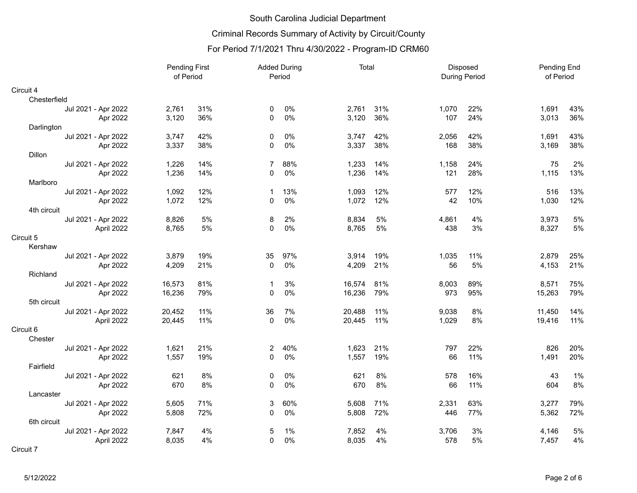## Criminal Records Summary of Activity by Circuit/County

|                     | <b>Pending First</b><br>of Period |     | <b>Added During</b><br>Period |     | Total  |     | Disposed<br><b>During Period</b> |     | Pending End<br>of Period |      |
|---------------------|-----------------------------------|-----|-------------------------------|-----|--------|-----|----------------------------------|-----|--------------------------|------|
| Circuit 4           |                                   |     |                               |     |        |     |                                  |     |                          |      |
| Chesterfield        |                                   |     |                               |     |        |     |                                  |     |                          |      |
| Jul 2021 - Apr 2022 | 2,761                             | 31% | 0                             | 0%  | 2,761  | 31% | 1,070                            | 22% | 1,691                    | 43%  |
| Apr 2022            | 3,120                             | 36% | 0                             | 0%  | 3,120  | 36% | 107                              | 24% | 3,013                    | 36%  |
| Darlington          |                                   |     |                               |     |        |     |                                  |     |                          |      |
| Jul 2021 - Apr 2022 | 3,747                             | 42% | 0                             | 0%  | 3,747  | 42% | 2,056                            | 42% | 1,691                    | 43%  |
| Apr 2022            | 3,337                             | 38% | 0                             | 0%  | 3,337  | 38% | 168                              | 38% | 3,169                    | 38%  |
| Dillon              |                                   |     |                               |     |        |     |                                  |     |                          |      |
| Jul 2021 - Apr 2022 | 1,226                             | 14% | $\overline{7}$                | 88% | 1,233  | 14% | 1,158                            | 24% | 75                       | 2%   |
| Apr 2022            | 1,236                             | 14% | 0                             | 0%  | 1,236  | 14% | 121                              | 28% | 1,115                    | 13%  |
| Marlboro            |                                   |     |                               |     |        |     |                                  |     |                          |      |
| Jul 2021 - Apr 2022 | 1,092                             | 12% | 1                             | 13% | 1,093  | 12% | 577                              | 12% | 516                      | 13%  |
| Apr 2022            | 1,072                             | 12% | 0                             | 0%  | 1,072  | 12% | 42                               | 10% | 1,030                    | 12%  |
| 4th circuit         |                                   |     |                               |     |        |     |                                  |     |                          |      |
| Jul 2021 - Apr 2022 | 8,826                             | 5%  | 8                             | 2%  | 8,834  | 5%  | 4,861                            | 4%  | 3,973                    | 5%   |
| April 2022          | 8,765                             | 5%  | 0                             | 0%  | 8,765  | 5%  | 438                              | 3%  | 8,327                    | 5%   |
| Circuit 5           |                                   |     |                               |     |        |     |                                  |     |                          |      |
| Kershaw             |                                   |     |                               |     |        |     |                                  |     |                          |      |
| Jul 2021 - Apr 2022 | 3,879                             | 19% | 35                            | 97% | 3,914  | 19% | 1,035                            | 11% | 2,879                    | 25%  |
| Apr 2022            | 4,209                             | 21% | $\mathbf{0}$                  | 0%  | 4,209  | 21% | 56                               | 5%  | 4,153                    | 21%  |
| Richland            |                                   |     |                               |     |        |     |                                  |     |                          |      |
| Jul 2021 - Apr 2022 | 16,573                            | 81% | 1                             | 3%  | 16,574 | 81% | 8,003                            | 89% | 8,571                    | 75%  |
| Apr 2022            | 16,236                            | 79% | 0                             | 0%  | 16,236 | 79% | 973                              | 95% | 15,263                   | 79%  |
| 5th circuit         |                                   |     |                               |     |        |     |                                  |     |                          |      |
| Jul 2021 - Apr 2022 | 20,452                            | 11% | 36                            | 7%  | 20,488 | 11% | 9,038                            | 8%  | 11,450                   | 14%  |
| April 2022          | 20,445                            | 11% | 0                             | 0%  | 20,445 | 11% | 1,029                            | 8%  | 19,416                   | 11%  |
| Circuit 6           |                                   |     |                               |     |        |     |                                  |     |                          |      |
| Chester             |                                   |     |                               |     |        |     |                                  |     |                          |      |
| Jul 2021 - Apr 2022 | 1,621                             | 21% | 2                             | 40% | 1,623  | 21% | 797                              | 22% | 826                      | 20%  |
| Apr 2022            | 1,557                             | 19% | 0                             | 0%  | 1,557  | 19% | 66                               | 11% | 1,491                    | 20%  |
| Fairfield           |                                   |     |                               |     |        |     |                                  |     |                          |      |
| Jul 2021 - Apr 2022 | 621                               | 8%  | 0                             | 0%  | 621    | 8%  | 578                              | 16% | 43                       | 1%   |
| Apr 2022            | 670                               | 8%  | 0                             | 0%  | 670    | 8%  | 66                               | 11% | 604                      | $8%$ |
| Lancaster           |                                   |     |                               |     |        |     |                                  |     |                          |      |
| Jul 2021 - Apr 2022 | 5,605                             | 71% | 3                             | 60% | 5,608  | 71% | 2,331                            | 63% | 3,277                    | 79%  |
| Apr 2022            | 5,808                             | 72% | 0                             | 0%  | 5,808  | 72% | 446                              | 77% | 5,362                    | 72%  |
| 6th circuit         |                                   |     |                               |     |        |     |                                  |     |                          |      |
| Jul 2021 - Apr 2022 | 7,847                             | 4%  | 5                             | 1%  | 7,852  | 4%  | 3,706                            | 3%  | 4,146                    | 5%   |
| April 2022          | 8,035                             | 4%  | 0                             | 0%  | 8,035  | 4%  | 578                              | 5%  | 7,457                    | 4%   |
| Circuit 7           |                                   |     |                               |     |        |     |                                  |     |                          |      |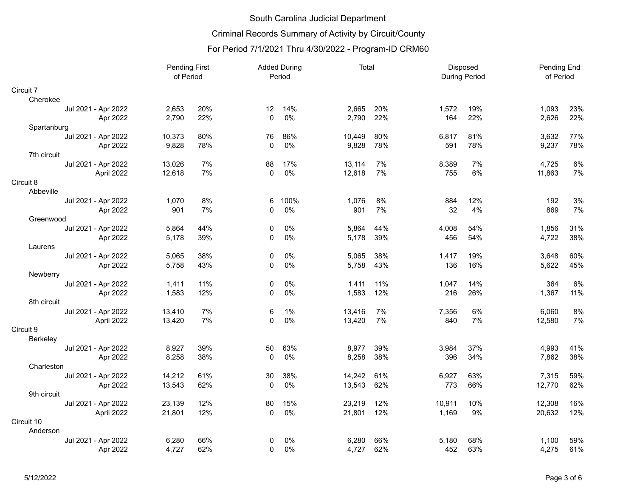# Criminal Records Summary of Activity by Circuit/County

|                     | <b>Pending First</b><br>of Period |     | <b>Added During</b><br>Period |      | Total  |     | Disposed<br><b>During Period</b> |     | Pending End<br>of Period |       |
|---------------------|-----------------------------------|-----|-------------------------------|------|--------|-----|----------------------------------|-----|--------------------------|-------|
| Circuit 7           |                                   |     |                               |      |        |     |                                  |     |                          |       |
| Cherokee            |                                   |     |                               |      |        |     |                                  |     |                          |       |
| Jul 2021 - Apr 2022 | 2,653                             | 20% | 12                            | 14%  | 2,665  | 20% | 1,572                            | 19% | 1,093                    | 23%   |
| Apr 2022            | 2,790                             | 22% | $\mathbf{0}$                  | 0%   | 2,790  | 22% | 164                              | 22% | 2,626                    | 22%   |
| Spartanburg         |                                   |     |                               |      |        |     |                                  |     |                          |       |
| Jul 2021 - Apr 2022 | 10,373                            | 80% | 76                            | 86%  | 10,449 | 80% | 6,817                            | 81% | 3,632                    | 77%   |
| Apr 2022            | 9,828                             | 78% | 0                             | 0%   | 9,828  | 78% | 591                              | 78% | 9,237                    | 78%   |
| 7th circuit         |                                   |     |                               |      |        |     |                                  |     |                          |       |
| Jul 2021 - Apr 2022 | 13,026                            | 7%  | 88                            | 17%  | 13,114 | 7%  | 8,389                            | 7%  | 4,725                    | $6\%$ |
| April 2022          | 12,618                            | 7%  | $\Omega$                      | 0%   | 12,618 | 7%  | 755                              | 6%  | 11,863                   | 7%    |
| Circuit 8           |                                   |     |                               |      |        |     |                                  |     |                          |       |
| Abbeville           |                                   |     |                               |      |        |     |                                  |     |                          |       |
| Jul 2021 - Apr 2022 | 1,070                             | 8%  | 6                             | 100% | 1,076  | 8%  | 884                              | 12% | 192                      | 3%    |
| Apr 2022            | 901                               | 7%  | 0                             | 0%   | 901    | 7%  | 32                               | 4%  | 869                      | 7%    |
| Greenwood           |                                   |     |                               |      |        |     |                                  |     |                          |       |
| Jul 2021 - Apr 2022 | 5,864                             | 44% | 0                             | 0%   | 5,864  | 44% | 4,008                            | 54% | 1,856                    | 31%   |
| Apr 2022            | 5,178                             | 39% | $\mathbf 0$                   | 0%   | 5,178  | 39% | 456                              | 54% | 4,722                    | 38%   |
| Laurens             |                                   |     |                               |      |        |     |                                  |     |                          |       |
| Jul 2021 - Apr 2022 | 5,065                             | 38% | 0                             | 0%   | 5,065  | 38% | 1,417                            | 19% | 3,648                    | 60%   |
| Apr 2022            | 5,758                             | 43% | $\Omega$                      | 0%   | 5,758  | 43% | 136                              | 16% | 5,622                    | 45%   |
| Newberry            |                                   |     |                               |      |        |     |                                  |     |                          |       |
| Jul 2021 - Apr 2022 | 1,411                             | 11% | 0                             | 0%   | 1,411  | 11% | 1,047                            | 14% | 364                      | 6%    |
| Apr 2022            | 1,583                             | 12% | 0                             | 0%   | 1,583  | 12% | 216                              | 26% | 1,367                    | 11%   |
| 8th circuit         |                                   |     |                               |      |        |     |                                  |     |                          |       |
| Jul 2021 - Apr 2022 | 13,410                            | 7%  | 6                             | 1%   | 13,416 | 7%  | 7,356                            | 6%  | 6,060                    | $8\%$ |
| April 2022          | 13,420                            | 7%  | $\Omega$                      | 0%   | 13,420 | 7%  | 840                              | 7%  | 12,580                   | 7%    |
| Circuit 9           |                                   |     |                               |      |        |     |                                  |     |                          |       |
| Berkeley            |                                   |     |                               |      |        |     |                                  |     |                          |       |
| Jul 2021 - Apr 2022 | 8,927                             | 39% | 50                            | 63%  | 8,977  | 39% | 3,984                            | 37% | 4,993                    | 41%   |
| Apr 2022            | 8,258                             | 38% | $\Omega$                      | 0%   | 8,258  | 38% | 396                              | 34% | 7,862                    | 38%   |
| Charleston          |                                   |     |                               |      |        |     |                                  |     |                          |       |
| Jul 2021 - Apr 2022 | 14,212                            | 61% | 30                            | 38%  | 14,242 | 61% | 6,927                            | 63% | 7,315                    | 59%   |
| Apr 2022            | 13,543                            | 62% | $\mathbf 0$                   | 0%   | 13,543 | 62% | 773                              | 66% | 12,770                   | 62%   |
| 9th circuit         |                                   |     |                               |      |        |     |                                  |     |                          |       |
| Jul 2021 - Apr 2022 | 23,139                            | 12% | 80                            | 15%  | 23,219 | 12% | 10,911                           | 10% | 12,308                   | 16%   |
| April 2022          | 21,801                            | 12% | $\Omega$                      | 0%   | 21,801 | 12% | 1,169                            | 9%  | 20,632                   | 12%   |
| Circuit 10          |                                   |     |                               |      |        |     |                                  |     |                          |       |
| Anderson            |                                   |     |                               |      |        |     |                                  |     |                          |       |
| Jul 2021 - Apr 2022 | 6,280                             | 66% | 0                             | 0%   | 6,280  | 66% | 5,180                            | 68% | 1,100                    | 59%   |
| Apr 2022            | 4,727                             | 62% | 0                             | 0%   | 4,727  | 62% | 452                              | 63% | 4,275                    | 61%   |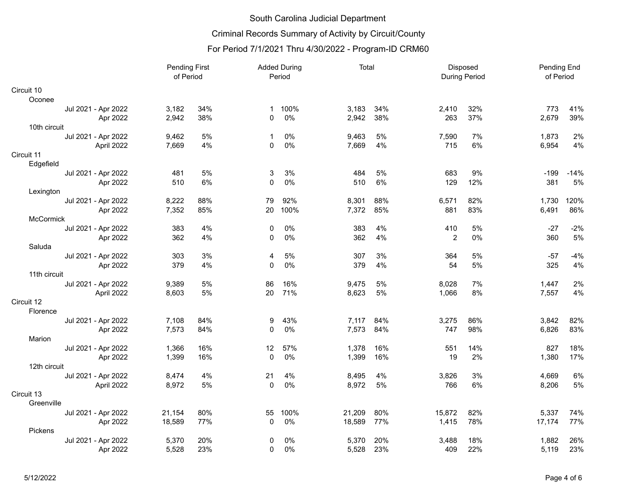## Criminal Records Summary of Activity by Circuit/County

|                     |            | <b>Pending First</b><br>of Period |     | <b>Added During</b><br>Period |      | Total  |     | Disposed<br><b>During Period</b> |     | Pending End<br>of Period |        |
|---------------------|------------|-----------------------------------|-----|-------------------------------|------|--------|-----|----------------------------------|-----|--------------------------|--------|
| Circuit 10          |            |                                   |     |                               |      |        |     |                                  |     |                          |        |
| Oconee              |            |                                   |     |                               |      |        |     |                                  |     |                          |        |
| Jul 2021 - Apr 2022 |            | 3,182                             | 34% | $\mathbf 1$                   | 100% | 3,183  | 34% | 2,410                            | 32% | 773                      | 41%    |
|                     | Apr 2022   | 2,942                             | 38% | $\Omega$                      | 0%   | 2,942  | 38% | 263                              | 37% | 2,679                    | 39%    |
| 10th circuit        |            |                                   |     |                               |      |        |     |                                  |     |                          |        |
| Jul 2021 - Apr 2022 |            | 9,462                             | 5%  | 1                             | 0%   | 9,463  | 5%  | 7,590                            | 7%  | 1,873                    | 2%     |
|                     | April 2022 | 7,669                             | 4%  | $\Omega$                      | 0%   | 7,669  | 4%  | 715                              | 6%  | 6,954                    | 4%     |
| Circuit 11          |            |                                   |     |                               |      |        |     |                                  |     |                          |        |
| Edgefield           |            |                                   |     |                               |      |        |     |                                  |     |                          |        |
| Jul 2021 - Apr 2022 |            | 481                               | 5%  | 3                             | 3%   | 484    | 5%  | 683                              | 9%  | $-199$                   | $-14%$ |
|                     | Apr 2022   | 510                               | 6%  | $\Omega$                      | 0%   | 510    | 6%  | 129                              | 12% | 381                      | 5%     |
| Lexington           |            |                                   |     |                               |      |        |     |                                  |     |                          |        |
| Jul 2021 - Apr 2022 |            | 8,222                             | 88% | 79                            | 92%  | 8,301  | 88% | 6,571                            | 82% | 1,730                    | 120%   |
|                     | Apr 2022   | 7,352                             | 85% | 20                            | 100% | 7,372  | 85% | 881                              | 83% | 6,491                    | 86%    |
| <b>McCormick</b>    |            |                                   |     |                               |      |        |     |                                  |     |                          |        |
| Jul 2021 - Apr 2022 |            | 383                               | 4%  | 0                             | 0%   | 383    | 4%  | 410                              | 5%  | $-27$                    | $-2%$  |
|                     | Apr 2022   | 362                               | 4%  | $\Omega$                      | 0%   | 362    | 4%  | 2                                | 0%  | 360                      | 5%     |
| Saluda              |            |                                   |     |                               |      |        |     |                                  |     |                          |        |
| Jul 2021 - Apr 2022 |            | 303                               | 3%  | 4                             | 5%   | 307    | 3%  | 364                              | 5%  | -57                      | $-4%$  |
|                     | Apr 2022   | 379                               | 4%  | $\mathbf{0}$                  | 0%   | 379    | 4%  | 54                               | 5%  | 325                      | 4%     |
| 11th circuit        |            |                                   |     |                               |      |        |     |                                  |     |                          |        |
| Jul 2021 - Apr 2022 |            | 9,389                             | 5%  | 86                            | 16%  | 9,475  | 5%  | 8,028                            | 7%  | 1,447                    | 2%     |
|                     | April 2022 | 8,603                             | 5%  | 20                            | 71%  | 8,623  | 5%  | 1,066                            | 8%  | 7,557                    | 4%     |
| Circuit 12          |            |                                   |     |                               |      |        |     |                                  |     |                          |        |
| Florence            |            |                                   |     |                               |      |        |     |                                  |     |                          |        |
| Jul 2021 - Apr 2022 |            | 7,108                             | 84% | 9                             | 43%  | 7,117  | 84% | 3,275                            | 86% | 3,842                    | 82%    |
|                     | Apr 2022   | 7,573                             | 84% | $\Omega$                      | 0%   | 7,573  | 84% | 747                              | 98% | 6,826                    | 83%    |
| Marion              |            |                                   |     |                               |      |        |     |                                  |     |                          |        |
| Jul 2021 - Apr 2022 |            | 1,366                             | 16% | 12                            | 57%  | 1,378  | 16% | 551                              | 14% | 827                      | 18%    |
|                     | Apr 2022   | 1,399                             | 16% | $\Omega$                      | 0%   | 1,399  | 16% | 19                               | 2%  | 1,380                    | 17%    |
| 12th circuit        |            |                                   |     |                               |      |        |     |                                  |     |                          |        |
| Jul 2021 - Apr 2022 |            | 8,474                             | 4%  | 21                            | 4%   | 8,495  | 4%  | 3,826                            | 3%  | 4,669                    | 6%     |
|                     | April 2022 | 8,972                             | 5%  | 0                             | 0%   | 8,972  | 5%  | 766                              | 6%  | 8,206                    | 5%     |
| Circuit 13          |            |                                   |     |                               |      |        |     |                                  |     |                          |        |
| Greenville          |            |                                   |     |                               |      |        |     |                                  |     |                          |        |
| Jul 2021 - Apr 2022 |            | 21,154                            | 80% | 55                            | 100% | 21,209 | 80% | 15,872                           | 82% | 5,337                    | 74%    |
|                     | Apr 2022   | 18,589                            | 77% | 0                             | 0%   | 18,589 | 77% | 1,415                            | 78% | 17,174                   | 77%    |
| Pickens             |            |                                   |     |                               |      |        |     |                                  |     |                          |        |
| Jul 2021 - Apr 2022 |            | 5,370                             | 20% | 0                             | 0%   | 5,370  | 20% | 3,488                            | 18% | 1,882                    | 26%    |
|                     | Apr 2022   | 5,528                             | 23% | 0                             | 0%   | 5,528  | 23% | 409                              | 22% | 5,119                    | 23%    |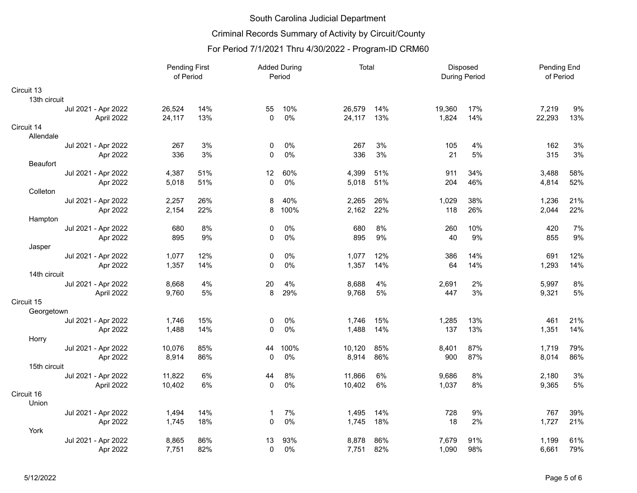# Criminal Records Summary of Activity by Circuit/County

|              | <b>Pending First</b><br>of Period |        | <b>Added During</b><br>Period |             | Total |        | Disposed<br><b>During Period</b> |        | Pending End<br>of Period |        |      |
|--------------|-----------------------------------|--------|-------------------------------|-------------|-------|--------|----------------------------------|--------|--------------------------|--------|------|
| Circuit 13   |                                   |        |                               |             |       |        |                                  |        |                          |        |      |
| 13th circuit |                                   |        |                               |             |       |        |                                  |        |                          |        |      |
|              | Jul 2021 - Apr 2022               | 26,524 | 14%                           | 55          | 10%   | 26,579 | 14%                              | 19,360 | 17%                      | 7,219  | 9%   |
|              | April 2022                        | 24,117 | 13%                           | $\Omega$    | 0%    | 24,117 | 13%                              | 1,824  | 14%                      | 22,293 | 13%  |
| Circuit 14   |                                   |        |                               |             |       |        |                                  |        |                          |        |      |
| Allendale    |                                   |        |                               |             |       |        |                                  |        |                          |        |      |
|              | Jul 2021 - Apr 2022               | 267    | 3%                            | 0           | 0%    | 267    | 3%                               | 105    | 4%                       | 162    | 3%   |
|              | Apr 2022                          | 336    | 3%                            | 0           | 0%    | 336    | 3%                               | 21     | 5%                       | 315    | $3%$ |
| Beaufort     |                                   |        |                               |             |       |        |                                  |        |                          |        |      |
|              | Jul 2021 - Apr 2022               | 4,387  | 51%                           | 12          | 60%   | 4,399  | 51%                              | 911    | 34%                      | 3,488  | 58%  |
|              | Apr 2022                          | 5,018  | 51%                           | $\pmb{0}$   | 0%    | 5,018  | 51%                              | 204    | 46%                      | 4,814  | 52%  |
| Colleton     |                                   |        |                               |             |       |        |                                  |        |                          |        |      |
|              | Jul 2021 - Apr 2022               | 2,257  | 26%                           | 8           | 40%   | 2,265  | 26%                              | 1,029  | 38%                      | 1,236  | 21%  |
|              | Apr 2022                          | 2,154  | 22%                           | 8           | 100%  | 2,162  | 22%                              | 118    | 26%                      | 2,044  | 22%  |
| Hampton      |                                   |        |                               |             |       |        |                                  |        |                          |        |      |
|              | Jul 2021 - Apr 2022               | 680    | 8%                            | 0           | $0\%$ | 680    | 8%                               | 260    | 10%                      | 420    | 7%   |
|              | Apr 2022                          | 895    | 9%                            | 0           | 0%    | 895    | 9%                               | 40     | 9%                       | 855    | 9%   |
| Jasper       |                                   |        |                               |             |       |        |                                  |        |                          |        |      |
|              | Jul 2021 - Apr 2022               | 1,077  | 12%                           | 0           | 0%    | 1,077  | 12%                              | 386    | 14%                      | 691    | 12%  |
|              | Apr 2022                          | 1,357  | 14%                           | $\Omega$    | 0%    | 1,357  | 14%                              | 64     | 14%                      | 1,293  | 14%  |
| 14th circuit |                                   |        |                               |             |       |        |                                  |        |                          |        |      |
|              | Jul 2021 - Apr 2022               | 8,668  | 4%                            | 20          | 4%    | 8,688  | 4%                               | 2,691  | 2%                       | 5,997  | 8%   |
|              | April 2022                        | 9,760  | 5%                            | 8           | 29%   | 9,768  | 5%                               | 447    | 3%                       | 9,321  | 5%   |
| Circuit 15   |                                   |        |                               |             |       |        |                                  |        |                          |        |      |
| Georgetown   |                                   |        |                               |             |       |        |                                  |        |                          |        |      |
|              | Jul 2021 - Apr 2022               | 1,746  | 15%                           | 0           | 0%    | 1,746  | 15%                              | 1,285  | 13%                      | 461    | 21%  |
|              | Apr 2022                          | 1,488  | 14%                           | 0           | 0%    | 1,488  | 14%                              | 137    | 13%                      | 1,351  | 14%  |
| Horry        |                                   |        |                               |             |       |        |                                  |        |                          |        |      |
|              | Jul 2021 - Apr 2022               | 10,076 | 85%                           | 44          | 100%  | 10,120 | 85%                              | 8,401  | 87%                      | 1,719  | 79%  |
|              | Apr 2022                          | 8,914  | 86%                           | $\mathbf 0$ | 0%    | 8,914  | 86%                              | 900    | 87%                      | 8,014  | 86%  |
| 15th circuit |                                   |        |                               |             |       |        |                                  |        |                          |        |      |
|              | Jul 2021 - Apr 2022               | 11,822 | 6%                            | 44          | 8%    | 11,866 | 6%                               | 9,686  | 8%                       | 2,180  | 3%   |
|              | April 2022                        | 10,402 | 6%                            | $\mathbf 0$ | 0%    | 10,402 | 6%                               | 1,037  | 8%                       | 9,365  | 5%   |
| Circuit 16   |                                   |        |                               |             |       |        |                                  |        |                          |        |      |
| Union        |                                   |        |                               |             |       |        |                                  |        |                          |        |      |
|              | Jul 2021 - Apr 2022               | 1,494  | 14%                           | 1           | 7%    | 1,495  | 14%                              | 728    | 9%                       | 767    | 39%  |
|              | Apr 2022                          | 1,745  | 18%                           | $\Omega$    | 0%    | 1,745  | 18%                              | 18     | 2%                       | 1,727  | 21%  |
| York         |                                   |        |                               |             |       |        |                                  |        |                          |        |      |
|              | Jul 2021 - Apr 2022               | 8,865  | 86%                           | 13          | 93%   | 8,878  | 86%                              | 7,679  | 91%                      | 1,199  | 61%  |
|              | Apr 2022                          | 7,751  | 82%                           | $\mathbf 0$ | 0%    | 7,751  | 82%                              | 1,090  | 98%                      | 6,661  | 79%  |